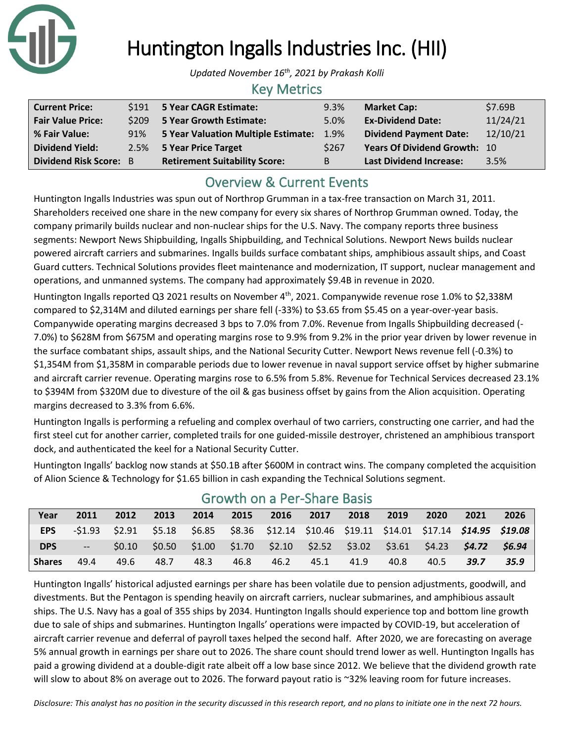

# Huntington Ingalls Industries Inc. (HII)

*Updated November 16th, 2021 by Prakash Kolli*

### Key Metrics

| <b>Current Price:</b>    |     | \$191 5 Year CAGR Estimate:          | 9.3%  | <b>Market Cap:</b>             | \$7.69B  |
|--------------------------|-----|--------------------------------------|-------|--------------------------------|----------|
| <b>Fair Value Price:</b> |     | \$209 5 Year Growth Estimate:        | 5.0%  | <b>Ex-Dividend Date:</b>       | 11/24/21 |
| % Fair Value:            | 91% | 5 Year Valuation Multiple Estimate:  | 1.9%  | <b>Dividend Payment Date:</b>  | 12/10/21 |
| <b>Dividend Yield:</b>   |     | 2.5% 5 Year Price Target             | \$267 | Years Of Dividend Growth: 10   |          |
| Dividend Risk Score: B   |     | <b>Retirement Suitability Score:</b> | B     | <b>Last Dividend Increase:</b> | 3.5%     |

## Overview & Current Events

Huntington Ingalls Industries was spun out of Northrop Grumman in a tax-free transaction on March 31, 2011. Shareholders received one share in the new company for every six shares of Northrop Grumman owned. Today, the company primarily builds nuclear and non-nuclear ships for the U.S. Navy. The company reports three business segments: Newport News Shipbuilding, Ingalls Shipbuilding, and Technical Solutions. Newport News builds nuclear powered aircraft carriers and submarines. Ingalls builds surface combatant ships, amphibious assault ships, and Coast Guard cutters. Technical Solutions provides fleet maintenance and modernization, IT support, nuclear management and operations, and unmanned systems. The company had approximately \$9.4B in revenue in 2020.

Huntington Ingalls reported Q3 2021 results on November 4<sup>th</sup>, 2021. Companywide revenue rose 1.0% to \$2,338M compared to \$2,314M and diluted earnings per share fell (-33%) to \$3.65 from \$5.45 on a year-over-year basis. Companywide operating margins decreased 3 bps to 7.0% from 7.0%. Revenue from Ingalls Shipbuilding decreased (- 7.0%) to \$628M from \$675M and operating margins rose to 9.9% from 9.2% in the prior year driven by lower revenue in the surface combatant ships, assault ships, and the National Security Cutter. Newport News revenue fell (-0.3%) to \$1,354M from \$1,358M in comparable periods due to lower revenue in naval support service offset by higher submarine and aircraft carrier revenue. Operating margins rose to 6.5% from 5.8%. Revenue for Technical Services decreased 23.1% to \$394M from \$320M due to divesture of the oil & gas business offset by gains from the Alion acquisition. Operating margins decreased to 3.3% from 6.6%.

Huntington Ingalls is performing a refueling and complex overhaul of two carriers, constructing one carrier, and had the first steel cut for another carrier, completed trails for one guided-missile destroyer, christened an amphibious transport dock, and authenticated the keel for a National Security Cutter.

Huntington Ingalls' backlog now stands at \$50.1B after \$600M in contract wins. The company completed the acquisition of Alion Science & Technology for \$1.65 billion in cash expanding the Technical Solutions segment.

| Year          | 2011                    | 2012 | 2013 | 2014 | 2015 | 2016                                                                                                    | 2017 | 2018 | 2019 | 2020 | 2021 | 2026 |
|---------------|-------------------------|------|------|------|------|---------------------------------------------------------------------------------------------------------|------|------|------|------|------|------|
| <b>EPS</b>    |                         |      |      |      |      | $-51.93$ $52.91$ $55.18$ $56.85$ $58.36$ $512.14$ $510.46$ $519.11$ $514.01$ $517.14$ $514.95$ $519.08$ |      |      |      |      |      |      |
| <b>DPS</b>    | $\mathbb{L} \mathbb{L}$ |      |      |      |      | $$0.10$ $$0.50$ $$1.00$ $$1.70$ $$2.10$ $$2.52$ $$3.02$ $$3.61$ $$4.23$ $$4.72$ $$6.94$                 |      |      |      |      |      |      |
| <b>Shares</b> | 49.4                    | 49.6 | 48.7 | 48.3 | 46.8 | 46.2                                                                                                    | 45.1 | 41.9 | 40.8 | 40.5 | 39.7 | 35.9 |

### Growth on a Per-Share Basis

Huntington Ingalls' historical adjusted earnings per share has been volatile due to pension adjustments, goodwill, and divestments. But the Pentagon is spending heavily on aircraft carriers, nuclear submarines, and amphibious assault ships. The U.S. Navy has a goal of 355 ships by 2034. Huntington Ingalls should experience top and bottom line growth due to sale of ships and submarines. Huntington Ingalls' operations were impacted by COVID-19, but acceleration of aircraft carrier revenue and deferral of payroll taxes helped the second half. After 2020, we are forecasting on average 5% annual growth in earnings per share out to 2026. The share count should trend lower as well. Huntington Ingalls has paid a growing dividend at a double-digit rate albeit off a low base since 2012. We believe that the dividend growth rate will slow to about 8% on average out to 2026. The forward payout ratio is ~32% leaving room for future increases.

*Disclosure: This analyst has no position in the security discussed in this research report, and no plans to initiate one in the next 72 hours.*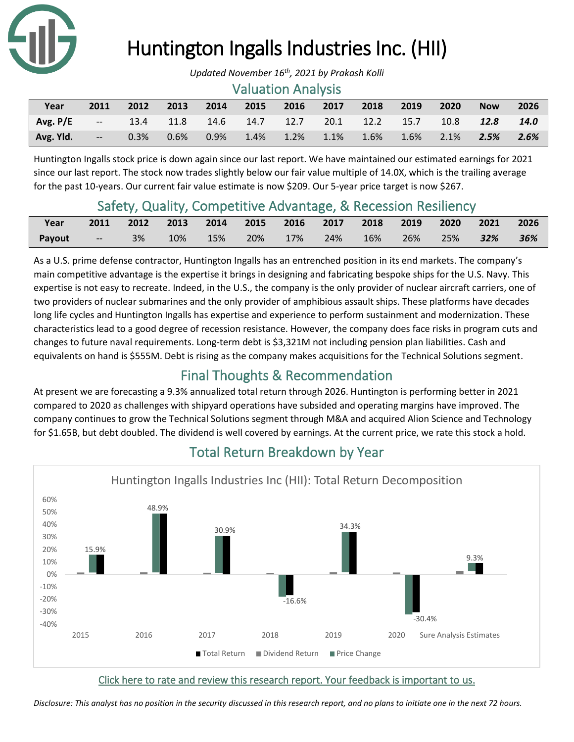

# Huntington Ingalls Industries Inc. (HII)

#### Valuation Analysis

| Year         | 2011           | 2012 | 2013 | $\sqrt{2014}$ | 2015 | 2016                                         | 2017 | 2018 | 2019     | 2020    | <b>Now</b> | 2026 |
|--------------|----------------|------|------|---------------|------|----------------------------------------------|------|------|----------|---------|------------|------|
| $Avg.P/E$ -- |                |      |      |               |      | 13.4 11.8 14.6 14.7 12.7 20.1 12.2 15.7 10.8 |      |      |          |         | 12.8       | 14.0 |
| Avg. Yld.    | $\sim$ $ \sim$ | 0.3% | 0.6% | $0.9\%$       |      | $1.4\%$ $1.2\%$ $1.1\%$                      |      | 1.6% | $-1.6\%$ | $2.1\%$ | 2.5%       | 2.6% |

Huntington Ingalls stock price is down again since our last report. We have maintained our estimated earnings for 2021 since our last report. The stock now trades slightly below our fair value multiple of 14.0X, which is the trailing average for the past 10-years. Our current fair value estimate is now \$209. Our 5-year price target is now \$267.

### Safety, Quality, Competitive Advantage, & Recession Resiliency

| Year                                                        | 2011 2012 2013 2014 2015 2016 2017 2018 2019 2020 2021 2026 |  |  |  |  |  |
|-------------------------------------------------------------|-------------------------------------------------------------|--|--|--|--|--|
| Payout -- 3% 10% 15% 20% 17% 24% 16% 26% 25% <b>32% 36%</b> |                                                             |  |  |  |  |  |

As a U.S. prime defense contractor, Huntington Ingalls has an entrenched position in its end markets. The company's main competitive advantage is the expertise it brings in designing and fabricating bespoke ships for the U.S. Navy. This expertise is not easy to recreate. Indeed, in the U.S., the company is the only provider of nuclear aircraft carriers, one of two providers of nuclear submarines and the only provider of amphibious assault ships. These platforms have decades long life cycles and Huntington Ingalls has expertise and experience to perform sustainment and modernization. These characteristics lead to a good degree of recession resistance. However, the company does face risks in program cuts and changes to future naval requirements. Long-term debt is \$3,321M not including pension plan liabilities. Cash and equivalents on hand is \$555M. Debt is rising as the company makes acquisitions for the Technical Solutions segment.

## Final Thoughts & Recommendation

At present we are forecasting a 9.3% annualized total return through 2026. Huntington is performing better in 2021 compared to 2020 as challenges with shipyard operations have subsided and operating margins have improved. The company continues to grow the Technical Solutions segment through M&A and acquired Alion Science and Technology for \$1.65B, but debt doubled. The dividend is well covered by earnings. At the current price, we rate this stock a hold.



## Total Return Breakdown by Year

#### [Click here to rate and review this research report. Your feedback is important to us.](https://suredividend.typeform.com/to/Dxzcqv)

*[Disclosure: This analyst has no position in the security discussed in this research report, and no plans to initiate one in the next 72 hours.](https://suredividend.typeform.com/to/Dxzcqv)*

*Updated November 16th, 2021 by Prakash Kolli*